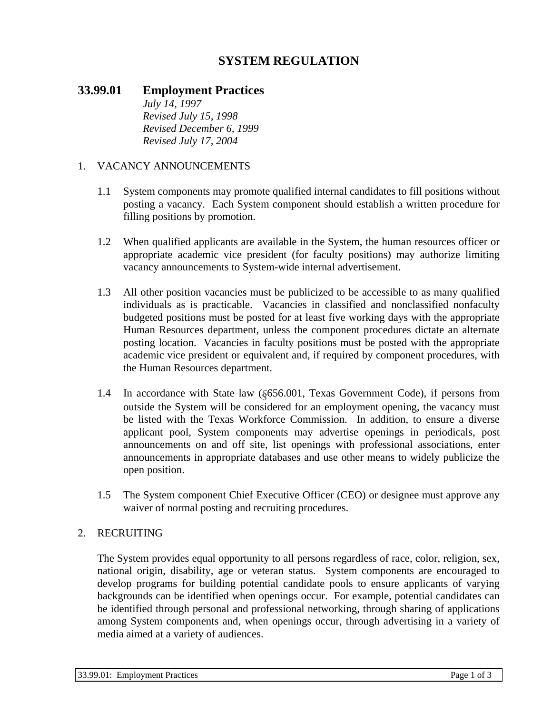# **SYSTEM REGULATION**

# **33.99.01 Employment Practices**

*July 14, 1997 Revised July 15, 1998 Revised December 6, 1999 Revised July 17, 2004*

#### 1. VACANCY ANNOUNCEMENTS

- 1.1 System components may promote qualified internal candidates to fill positions without posting a vacancy. Each System component should establish a written procedure for filling positions by promotion.
- 1.2 When qualified applicants are available in the System, the human resources officer or appropriate academic vice president (for faculty positions) may authorize limiting vacancy announcements to System-wide internal advertisement.
- 1.3 All other position vacancies must be publicized to be accessible to as many qualified individuals as is practicable. Vacancies in classified and nonclassified nonfaculty budgeted positions must be posted for at least five working days with the appropriate Human Resources department, unless the component procedures dictate an alternate posting location. Vacancies in faculty positions must be posted with the appropriate academic vice president or equivalent and, if required by component procedures, with the Human Resources department.
- 1.4 In accordance with State law (§656.001, Texas Government Code), if persons from outside the System will be considered for an employment opening, the vacancy must be listed with the Texas Workforce Commission. In addition, to ensure a diverse applicant pool, System components may advertise openings in periodicals, post announcements on and off site, list openings with professional associations, enter announcements in appropriate databases and use other means to widely publicize the open position.
- 1.5 The System component Chief Executive Officer (CEO) or designee must approve any waiver of normal posting and recruiting procedures.

#### 2. RECRUITING

The System provides equal opportunity to all persons regardless of race, color, religion, sex, national origin, disability, age or veteran status. System components are encouraged to develop programs for building potential candidate pools to ensure applicants of varying backgrounds can be identified when openings occur. For example, potential candidates can be identified through personal and professional networking, through sharing of applications among System components and, when openings occur, through advertising in a variety of media aimed at a variety of audiences.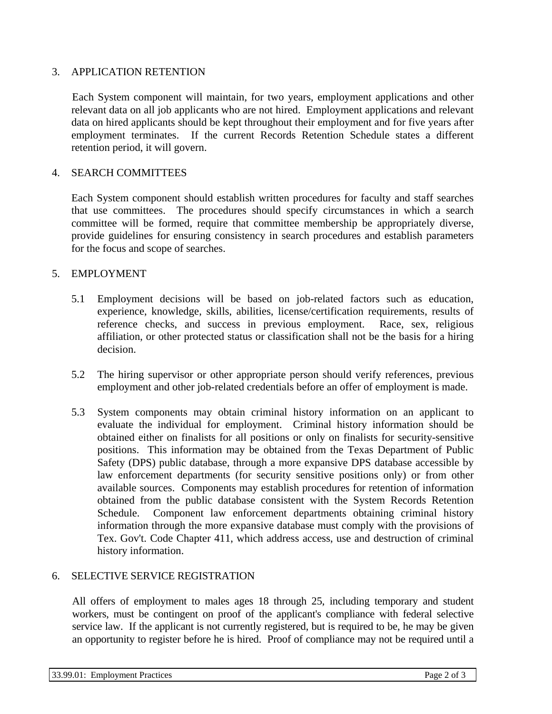## 3. APPLICATION RETENTION

Each System component will maintain, for two years, employment applications and other relevant data on all job applicants who are not hired. Employment applications and relevant data on hired applicants should be kept throughout their employment and for five years after employment terminates. If the current Records Retention Schedule states a different retention period, it will govern.

### 4. SEARCH COMMITTEES

Each System component should establish written procedures for faculty and staff searches that use committees. The procedures should specify circumstances in which a search committee will be formed, require that committee membership be appropriately diverse, provide guidelines for ensuring consistency in search procedures and establish parameters for the focus and scope of searches.

#### 5. EMPLOYMENT

- 5.1 Employment decisions will be based on job-related factors such as education, experience, knowledge, skills, abilities, license/certification requirements, results of reference checks, and success in previous employment. Race, sex, religious affiliation, or other protected status or classification shall not be the basis for a hiring decision.
- 5.2 The hiring supervisor or other appropriate person should verify references, previous employment and other job-related credentials before an offer of employment is made.
- 5.3 System components may obtain criminal history information on an applicant to evaluate the individual for employment. Criminal history information should be obtained either on finalists for all positions or only on finalists for security-sensitive positions. This information may be obtained from the Texas Department of Public Safety (DPS) public database, through a more expansive DPS database accessible by law enforcement departments (for security sensitive positions only) or from other available sources. Components may establish procedures for retention of information obtained from the public database consistent with the System Records Retention Schedule. Component law enforcement departments obtaining criminal history information through the more expansive database must comply with the provisions of Tex. Gov't. Code Chapter 411, which address access, use and destruction of criminal history information.

# 6. SELECTIVE SERVICE REGISTRATION

All offers of employment to males ages 18 through 25, including temporary and student workers, must be contingent on proof of the applicant's compliance with federal selective service law. If the applicant is not currently registered, but is required to be, he may be given an opportunity to register before he is hired. Proof of compliance may not be required until a